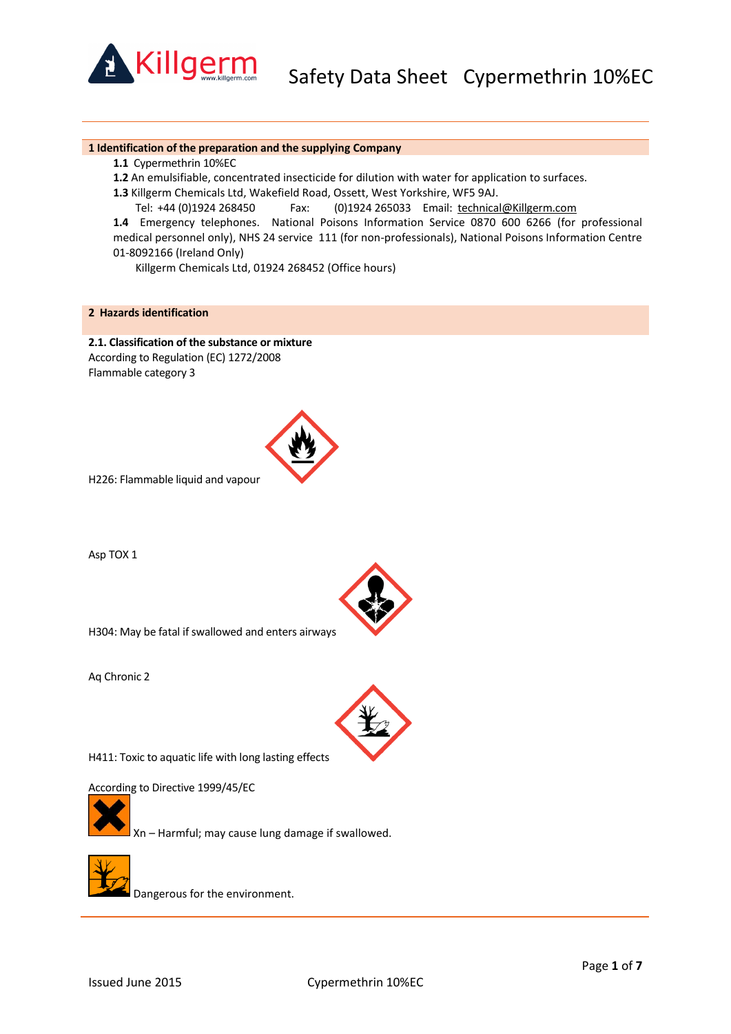

Safety Data Sheet Cypermethrin 10%EC

#### **1 Identification of the preparation and the supplying Company**

- **1.1** Cypermethrin 10%EC
- **1.2** An emulsifiable, concentrated insecticide for dilution with water for application to surfaces.
- **1.3** Killgerm Chemicals Ltd, Wakefield Road, Ossett, West Yorkshire, WF5 9AJ.
- Tel: +44 (0)1924 268450 Fax: (0)1924 265033 Email: [technical@Killgerm.com](mailto:technical@Killgerm.com)

**1.4** Emergency telephones. National Poisons Information Service 0870 600 6266 (for professional medical personnel only), NHS 24 service 111 (for non-professionals), National Poisons Information Centre 01-8092166 (Ireland Only)

Killgerm Chemicals Ltd, 01924 268452 (Office hours)

# **2 Hazards identification**

**2.1. Classification of the substance or mixture** According to Regulation (EC) 1272/2008 Flammable category 3



H226: Flammable liquid and vapour

Asp TOX 1



H304: May be fatal if swallowed and enters airways

Aq Chronic 2



H411: Toxic to aquatic life with long lasting effects

According to Directive 1999/45/EC



Xn – Harmful; may cause lung damage if swallowed.



Dangerous for the environment.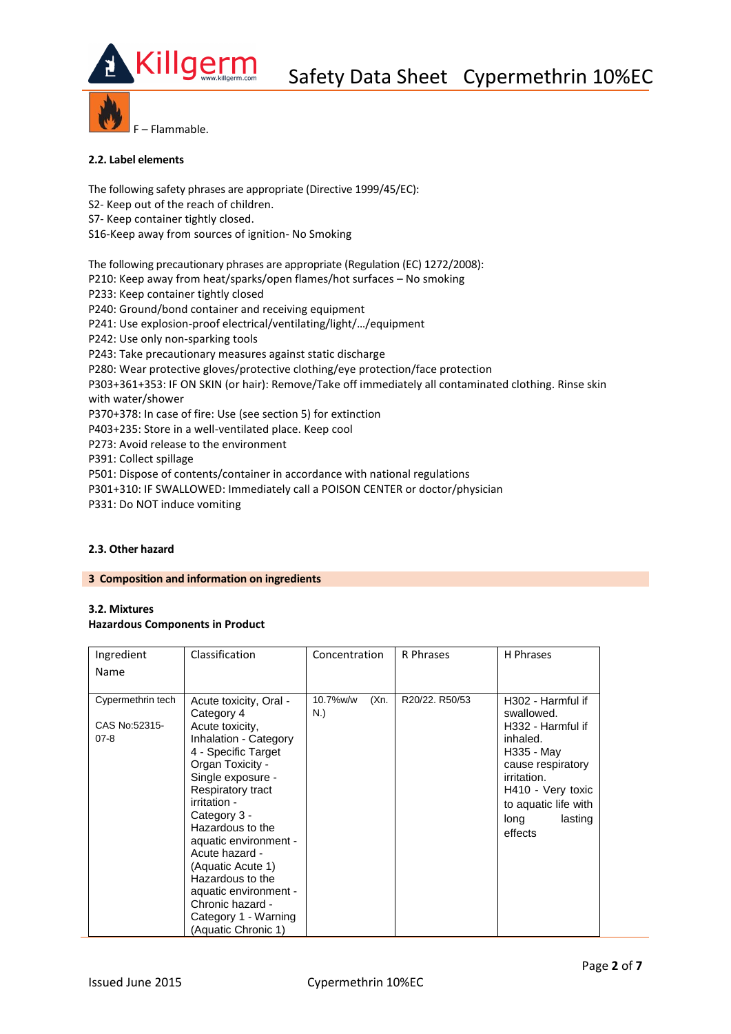

F – Flammable.

## **2.2. Label elements**

The following safety phrases are appropriate (Directive 1999/45/EC): S2- Keep out of the reach of children. S7- Keep container tightly closed. S16-Keep away from sources of ignition- No Smoking The following precautionary phrases are appropriate (Regulation (EC) 1272/2008): P210: Keep away from heat/sparks/open flames/hot surfaces – No smoking P233: Keep container tightly closed P240: Ground/bond container and receiving equipment P241: Use explosion-proof electrical/ventilating/light/…/equipment P242: Use only non-sparking tools P243: Take precautionary measures against static discharge P280: Wear protective gloves/protective clothing/eye protection/face protection P303+361+353: IF ON SKIN (or hair): Remove/Take off immediately all contaminated clothing. Rinse skin with water/shower

P370+378: In case of fire: Use (see section 5) for extinction

P403+235: Store in a well-ventilated place. Keep cool

P273: Avoid release to the environment

P391: Collect spillage

P501: Dispose of contents/container in accordance with national regulations

P301+310: IF SWALLOWED: Immediately call a POISON CENTER or doctor/physician

P331: Do NOT induce vomiting

## **2.3. Other hazard**

### **3 Composition and information on ingredients**

## **3.2. Mixtures Hazardous Components in Product**

| Ingredient                         | Classification                                                                                                                                                                                                                                                                                                                                 | Concentration           | R Phrases      | H Phrases                                                                                                                             |
|------------------------------------|------------------------------------------------------------------------------------------------------------------------------------------------------------------------------------------------------------------------------------------------------------------------------------------------------------------------------------------------|-------------------------|----------------|---------------------------------------------------------------------------------------------------------------------------------------|
| Name                               |                                                                                                                                                                                                                                                                                                                                                |                         |                |                                                                                                                                       |
| Cypermethrin tech<br>CAS No:52315- | Acute toxicity, Oral -<br>Category 4<br>Acute toxicity,                                                                                                                                                                                                                                                                                        | (Xn)<br>10.7%w/w<br>N.) | R20/22. R50/53 | H <sub>302</sub> - Harmful if<br>swallowed.<br>H332 - Harmful if                                                                      |
| $07 - 8$                           | Inhalation - Category<br>4 - Specific Target<br>Organ Toxicity -<br>Single exposure -<br>Respiratory tract<br>irritation -<br>Category 3 -<br>Hazardous to the<br>aquatic environment -<br>Acute hazard -<br>(Aquatic Acute 1)<br>Hazardous to the<br>aquatic environment -<br>Chronic hazard -<br>Category 1 - Warning<br>(Aquatic Chronic 1) |                         |                | inhaled.<br>H335 - May<br>cause respiratory<br>irritation.<br>H410 - Very toxic<br>to aquatic life with<br>lasting<br>long<br>effects |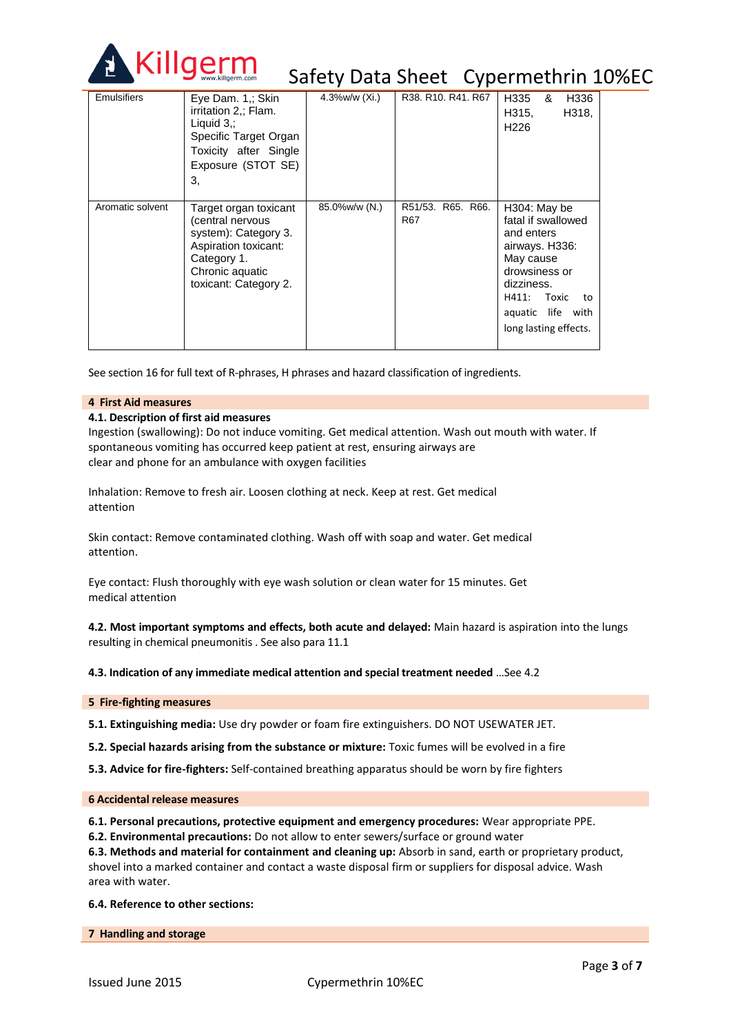

# Safety Data Sheet Cypermethrin 10%EC

| <b>Emulsifiers</b> | Eye Dam. 1.: Skin<br>irritation 2.; Flam.<br>Liquid $3$ .:<br>Specific Target Organ<br>Toxicity after Single<br>Exposure (STOT SE)<br>3.             | 4.3%w/w (Xi.) | R38, R10, R41, R67       | H335<br>H336<br>&<br>H315,<br>H318,<br>H <sub>226</sub>                                                                                                                              |
|--------------------|------------------------------------------------------------------------------------------------------------------------------------------------------|---------------|--------------------------|--------------------------------------------------------------------------------------------------------------------------------------------------------------------------------------|
| Aromatic solvent   | Target organ toxicant<br>(central nervous<br>system): Category 3.<br>Aspiration toxicant:<br>Category 1.<br>Chronic aquatic<br>toxicant: Category 2. | 85.0%w/w (N.) | R51/53, R65, R66.<br>R67 | H304: May be<br>fatal if swallowed<br>and enters<br>airways. H336:<br>May cause<br>drowsiness or<br>dizziness.<br>H411:<br>Toxic<br>to<br>aquatic life with<br>long lasting effects. |

See section 16 for full text of R-phrases, H phrases and hazard classification of ingredients.

### **4 First Aid measures**

## **4.1. Description of first aid measures**

Ingestion (swallowing): Do not induce vomiting. Get medical attention. Wash out mouth with water. If spontaneous vomiting has occurred keep patient at rest, ensuring airways are clear and phone for an ambulance with oxygen facilities

Inhalation: Remove to fresh air. Loosen clothing at neck. Keep at rest. Get medical attention

Skin contact: Remove contaminated clothing. Wash off with soap and water. Get medical attention.

Eye contact: Flush thoroughly with eye wash solution or clean water for 15 minutes. Get medical attention

**4.2. Most important symptoms and effects, both acute and delayed:** Main hazard is aspiration into the lungs resulting in chemical pneumonitis . See also para 11.1

**4.3. Indication of any immediate medical attention and special treatment needed** …See 4.2

**5 Fire-fighting measures**

**5.1. Extinguishing media:** Use dry powder or foam fire extinguishers. DO NOT USEWATER JET.

**5.2. Special hazards arising from the substance or mixture:** Toxic fumes will be evolved in a fire

**5.3. Advice for fire-fighters:** Self-contained breathing apparatus should be worn by fire fighters

### **6 Accidental release measures**

**6.1. Personal precautions, protective equipment and emergency procedures:** Wear appropriate PPE.

**6.2. Environmental precautions:** Do not allow to enter sewers/surface or ground water

**6.3. Methods and material for containment and cleaning up:** Absorb in sand, earth or proprietary product, shovel into a marked container and contact a waste disposal firm or suppliers for disposal advice. Wash

area with water.

**6.4. Reference to other sections:**

**7 Handling and storage**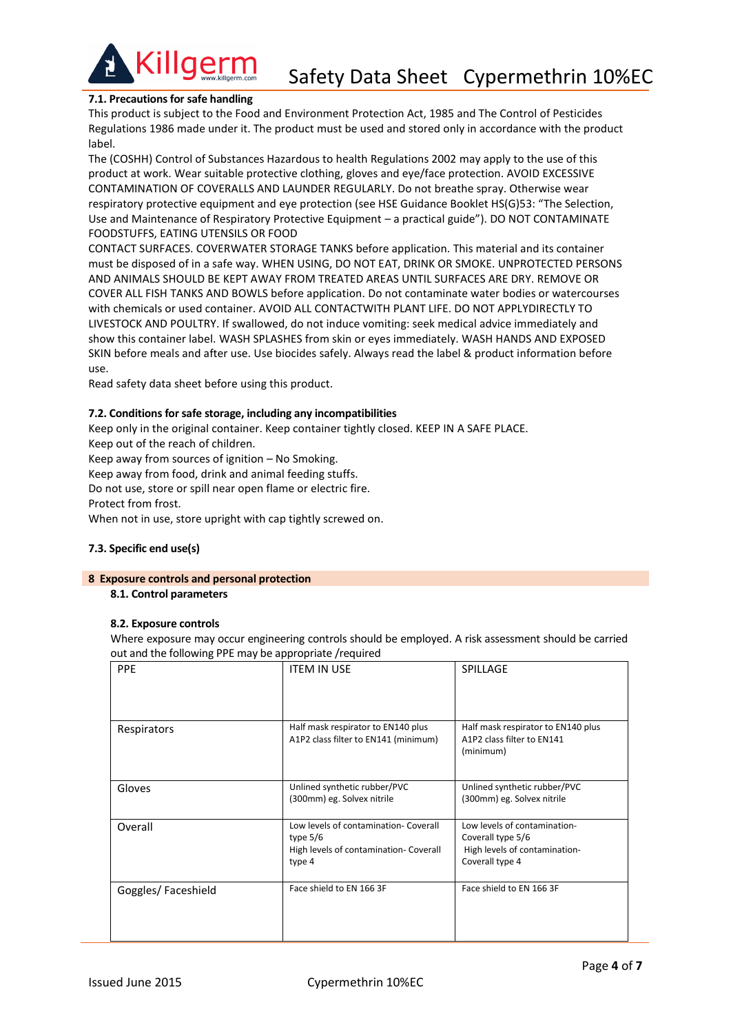

## **7.1. Precautions for safe handling**

This product is subject to the Food and Environment Protection Act, 1985 and The Control of Pesticides Regulations 1986 made under it. The product must be used and stored only in accordance with the product label.

The (COSHH) Control of Substances Hazardous to health Regulations 2002 may apply to the use of this product at work. Wear suitable protective clothing, gloves and eye/face protection. AVOID EXCESSIVE CONTAMINATION OF COVERALLS AND LAUNDER REGULARLY. Do not breathe spray. Otherwise wear respiratory protective equipment and eye protection (see HSE Guidance Booklet HS(G)53: "The Selection, Use and Maintenance of Respiratory Protective Equipment – a practical guide"). DO NOT CONTAMINATE FOODSTUFFS, EATING UTENSILS OR FOOD

CONTACT SURFACES. COVERWATER STORAGE TANKS before application. This material and its container must be disposed of in a safe way. WHEN USING, DO NOT EAT, DRINK OR SMOKE. UNPROTECTED PERSONS AND ANIMALS SHOULD BE KEPT AWAY FROM TREATED AREAS UNTIL SURFACES ARE DRY. REMOVE OR COVER ALL FISH TANKS AND BOWLS before application. Do not contaminate water bodies or watercourses with chemicals or used container. AVOID ALL CONTACTWITH PLANT LIFE. DO NOT APPLYDIRECTLY TO LIVESTOCK AND POULTRY. If swallowed, do not induce vomiting: seek medical advice immediately and show this container label. WASH SPLASHES from skin or eyes immediately. WASH HANDS AND EXPOSED SKIN before meals and after use. Use biocides safely. Always read the label & product information before use.

Read safety data sheet before using this product.

## **7.2. Conditions for safe storage, including any incompatibilities**

Keep only in the original container. Keep container tightly closed. KEEP IN A SAFE PLACE. Keep out of the reach of children.

Keep away from sources of ignition – No Smoking.

Keep away from food, drink and animal feeding stuffs.

Do not use, store or spill near open flame or electric fire.

Protect from frost.

When not in use, store upright with cap tightly screwed on.

## **7.3. Specific end use(s)**

### **8 Exposure controls and personal protection**

**8.1. Control parameters**

## **8.2. Exposure controls**

Where exposure may occur engineering controls should be employed. A risk assessment should be carried out and the following PPE may be appropriate /required

| <b>PPE</b>         | <b>ITEM IN USE</b>                                                                                      | SPILLAGE                                                                                              |
|--------------------|---------------------------------------------------------------------------------------------------------|-------------------------------------------------------------------------------------------------------|
| Respirators        | Half mask respirator to EN140 plus<br>A1P2 class filter to EN141 (minimum)                              | Half mask respirator to EN140 plus<br>A1P2 class filter to EN141<br>(minimum)                         |
| Gloves             | Unlined synthetic rubber/PVC<br>(300mm) eg. Solvex nitrile                                              | Unlined synthetic rubber/PVC<br>(300mm) eg. Solvex nitrile                                            |
| Overall            | Low levels of contamination- Coverall<br>type $5/6$<br>High levels of contamination- Coverall<br>type 4 | Low levels of contamination-<br>Coverall type 5/6<br>High levels of contamination-<br>Coverall type 4 |
| Goggles/Faceshield | Face shield to EN 166 3F                                                                                | Face shield to EN 166 3F                                                                              |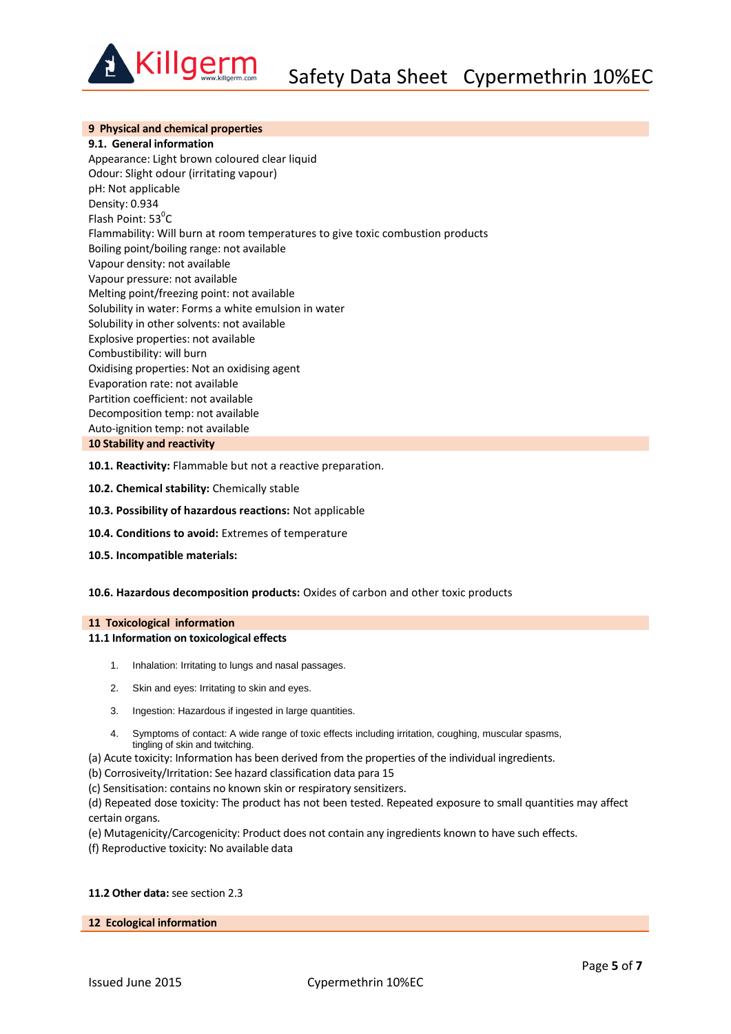

## **9 Physical and chemical properties**

**9.1. General information**

Appearance: Light brown coloured clear liquid Odour: Slight odour (irritating vapour) pH: Not applicable Density: 0.934 Flash Point:  $53^{\circ}$ C Flammability: Will burn at room temperatures to give toxic combustion products Boiling point/boiling range: not available Vapour density: not available Vapour pressure: not available Melting point/freezing point: not available Solubility in water: Forms a white emulsion in water Solubility in other solvents: not available Explosive properties: not available Combustibility: will burn Oxidising properties: Not an oxidising agent Evaporation rate: not available Partition coefficient: not available Decomposition temp: not available Auto-ignition temp: not available **10 Stability and reactivity**

- **10.1. Reactivity:** Flammable but not a reactive preparation.
- **10.2. Chemical stability:** Chemically stable
- **10.3. Possibility of hazardous reactions:** Not applicable
- **10.4. Conditions to avoid:** Extremes of temperature
- **10.5. Incompatible materials:**
- **10.6. Hazardous decomposition products:** Oxides of carbon and other toxic products

#### **11 Toxicological information**

#### **11.1 Information on toxicological effects**

- 1. Inhalation: Irritating to lungs and nasal passages.
- 2. Skin and eyes: Irritating to skin and eyes.
- 3. Ingestion: Hazardous if ingested in large quantities.
- 4. Symptoms of contact: A wide range of toxic effects including irritation, coughing, muscular spasms, tingling of skin and twitching.
- (a) Acute toxicity: Information has been derived from the properties of the individual ingredients.

(b) Corrosiveity/Irritation: See hazard classification data para 15

- (c) Sensitisation: contains no known skin or respiratory sensitizers.
- (d) Repeated dose toxicity: The product has not been tested. Repeated exposure to small quantities may affect certain organs.
- (e) Mutagenicity/Carcogenicity: Product does not contain any ingredients known to have such effects.
- (f) Reproductive toxicity: No available data

# **11.2 Other data:** see section 2.3

#### **12 Ecological information**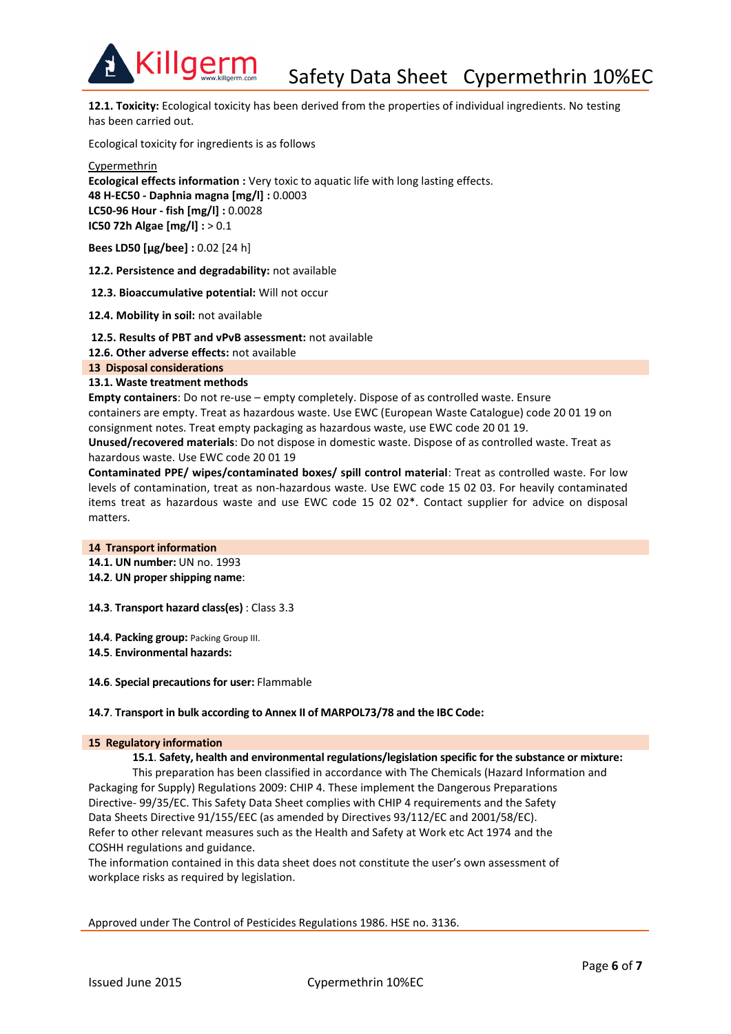

Killgerm

**12.1. Toxicity:** Ecological toxicity has been derived from the properties of individual ingredients. No testing has been carried out.

Ecological toxicity for ingredients is as follows

**Cypermethrin Ecological effects information :** Very toxic to aquatic life with long lasting effects. **48 H-EC50 - Daphnia magna [mg/l] :** 0.0003 **LC50-96 Hour - fish [mg/l] :** 0.0028 **IC50 72h Algae [mg/l] :** > 0.1

**Bees LD50 [μg/bee] :** 0.02 [24 h]

**12.2. Persistence and degradability:** not available

**12.3. Bioaccumulative potential:** Will not occur

**12.4. Mobility in soil:** not available

**12.5. Results of PBT and vPvB assessment:** not available

**12.6. Other adverse effects:** not available

**13 Disposal considerations**

## **13.1. Waste treatment methods**

**Empty containers**: Do not re-use – empty completely. Dispose of as controlled waste. Ensure containers are empty. Treat as hazardous waste. Use EWC (European Waste Catalogue) code 20 01 19 on consignment notes. Treat empty packaging as hazardous waste, use EWC code 20 01 19.

**Unused/recovered materials**: Do not dispose in domestic waste. Dispose of as controlled waste. Treat as hazardous waste. Use EWC code 20 01 19

**Contaminated PPE/ wipes/contaminated boxes/ spill control material**: Treat as controlled waste. For low levels of contamination, treat as non-hazardous waste. Use EWC code 15 02 03. For heavily contaminated items treat as hazardous waste and use EWC code 15 02 02\*. Contact supplier for advice on disposal matters.

### **14 Transport information**

**14.1. UN number:** UN no. 1993

**14.2**. **UN proper shipping name**:

**14.3**. **Transport hazard class(es)** : Class 3.3

**14.4**. **Packing group:** Packing Group III. **14.5**. **Environmental hazards:**

**14.6**. **Special precautions for user:** Flammable

### **14.7**. **Transport in bulk according to Annex II of MARPOL73/78 and the IBC Code:**

### **15 Regulatory information**

**15.1**. **Safety, health and environmental regulations/legislation specific for the substance or mixture:**

This preparation has been classified in accordance with The Chemicals (Hazard Information and Packaging for Supply) Regulations 2009: CHIP 4. These implement the Dangerous Preparations Directive- 99/35/EC. This Safety Data Sheet complies with CHIP 4 requirements and the Safety Data Sheets Directive 91/155/EEC (as amended by Directives 93/112/EC and 2001/58/EC). Refer to other relevant measures such as the Health and Safety at Work etc Act 1974 and the COSHH regulations and guidance.

The information contained in this data sheet does not constitute the user's own assessment of workplace risks as required by legislation.

Approved under The Control of Pesticides Regulations 1986. HSE no. 3136.